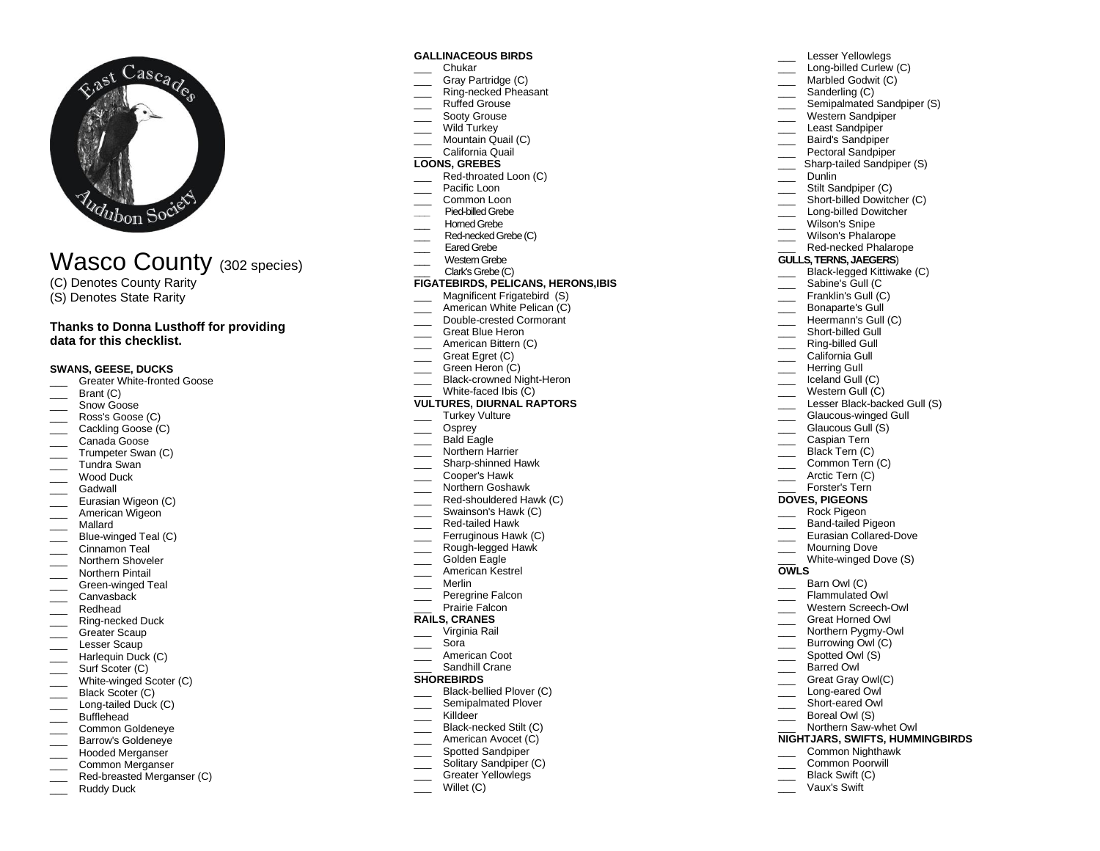

# Wasco County (302 species)

- (C) Denotes County Rarity
- (S) Denotes State Rarity

### **Thanks to Donna Lusthoff for providing data for this checklist.**

### **SWANS, GEESE, DUCKS**

- \_\_\_ Greater White -fronted Goose
- Brant (C)
- Snow Goose
- $\overline{\phantom{a}}$ Ross's Goose (C)
- Cackling Goose (C)
- Canada Goose
- **Trumpeter Swan (C)**
- \_\_\_ Tundra Swan
- \_\_\_ Wood Duck
- **Gadwall**
- Eurasian Wigeon (C)
- \_\_\_ American Wigeon
- \_\_\_ Mallard
- \_\_\_ Blue -winged Teal (C) Cinnamon Teal
- 
- \_\_\_ Northern Shoveler Northern Pintail
- 
- \_\_\_ Green -winged Teal Canvasback
- 
- \_\_\_ Redhead
- \_\_\_ Ring -necked Duck Greater Scaup
- Lesser Scaup
- Harlequin Duck (C)
- \_\_\_\_ Surf Scoter (C)
- 
- \_\_\_ White-winged Scoter (C) \_\_\_ Black Scoter (C)
- \_\_\_ Long-tailed Duck (C)
- Bufflehead
- \_\_\_ Common Goldeneye
- **EXECUTE:** Barrow's Goldeneye
- Hooded Merganser
- Common Merganser
- \_\_\_ Red -breasted Merganser (C)
- Ruddy Duck

### **GALLINACEOUS BIRDS**

- \_\_\_ Chukar
- \_\_\_ Gray Partridge (C)
- \_\_\_ Ring -necked Pheasant Ruffed Grouse
- Sooty Grouse
- Wild Turkey
- \_\_\_ Mountain Quail (C)
- \_\_\_ California Quail

### **LOONS, GREBES**

- \_\_\_ Red -throated Loon (C)
- Pacific Loon
- Common Loon
- **\_\_\_** Pied -billed Grebe
- Horned Grebe
- \_\_\_ Red -necked Grebe (C)
- Eared Grebe
- Western Grebe

#### \_\_\_ Clark's Grebe (C) **FIGATEBIRDS, PELICANS, HERONS,IBIS**

- \_\_\_ Magnificent Frigatebird (S)
- American White Pelican (C)
- \_\_\_ Double -crested Cormorant
- \_\_\_ Great Blue Heron
- \_\_\_ American Bittern (C)
- Great Egret (C)
- Green Heron (C)
- \_\_\_ Black-crowned Night-Heron
- \_\_\_ White -faced Ibis (C)

### **VULTURES, DIURNAL RAPTORS**

- Turkey Vulture
- Osprey
- Bald Eagle
- Northern Harrier
- \_\_\_ Sharp -shinned Hawk
- \_\_\_ Cooper's Hawk
- **Northern Goshawk**
- \_\_\_ Red -shouldered Hawk (C)
- **Example 15 Swainson's Hawk (C)**
- \_\_\_ Red -tailed Hawk
- Ferruginous Hawk (C)
- \_\_\_ Rough -legged Hawk Golden Eagle
- American Kestrel
- Merlin
- $\overline{\phantom{a}}$
- \_\_\_ Peregrine Falcon Prairie Falcon
- **RAILS, CRANES**

## \_\_\_ Virginia Rail

- \_\_\_ Sora
- American Coot
- Sandhill Crane

### **SHOREBIRDS**

- \_\_\_ Black -bellied Plover (C)
- Semipalmated Plover
- \_\_\_ Killdeer
- \_\_\_ Black -necked Stilt (C)
- American Avocet (C)
- Spotted Sandpiper
- Solitary Sandpiper (C)
- Greater Yellowlegs
- Willet (C)

Lesser Yellowlegs \_\_\_ Long -billed Curlew (C) Marbled Godwit (C)

Sanderling (C)

\_\_\_ Western Sandpiper Least Sandpiper \_\_\_ Baird's Sandpiper Pectoral Sandpiper \_\_\_ Sharp -tailed Sandpiper (S)

Stilt Sandpiper (C) \_\_\_ Short -billed Dowitcher (C) \_\_\_ Long -billed Dowitcher Wilson's Snipe \_\_\_ Wilson's Phalarope \_\_\_ Red -necked Phalarope **GULLS, TERNS, JAEGERS**) \_\_\_ Black -legged Kittiwake (C) Sabine's Gull (C Franklin's Gull (C) Bonaparte's Gull Heermann's Gull (C) \_\_\_ Short -billed Gull \_\_\_ Ring -billed Gull California Gull Herring Gull \_\_\_ Iceland Gull (C) Western Gull (C)

\_\_\_ Lesser Black-backed Gull (S) \_\_\_ Glaucous -winged Gull Glaucous Gull (S) \_\_\_ Caspian Tern Black Tern (C) Common Tern (C) \_\_\_\_ Arctic Tern (C) Forster's Tern **DOVES, PIGEONS** \_\_\_ Rock Pigeon \_\_\_ Band -tailed Pigeon \_\_\_ Eurasian Collared -Dove \_\_\_ Mourning Dove \_\_\_ White -winged Dove (S)

**OWLS**

Barn Owl (C) Flammulated Owl \_\_\_ Western S creech -Owl \_\_\_ Great Horned Owl \_\_\_ Northern Pygmy -Owl Burrowing Owl (C) Spotted Owl (S) Barred Owl Great Gray Owl(C) \_\_\_ Long -eared Owl \_\_\_ Short -eared Owl \_\_\_ Boreal Owl (S)

Northern Saw-whet Owl **NIGHTJARS, SWIFTS, HUMMINGBIRDS** \_\_\_ Common Nighthawk Common Poorwill Black Swift (C) \_\_\_ Vaux's Swift

Dunlin

Semipalmated Sandpiper (S)